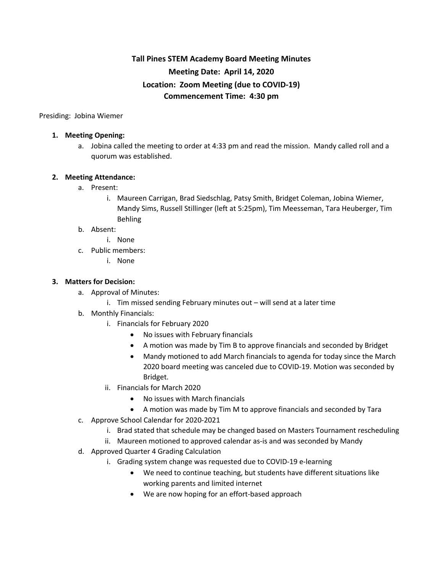# **Tall Pines STEM Academy Board Meeting Minutes Meeting Date: April 14, 2020 Location: Zoom Meeting (due to COVID-19) Commencement Time: 4:30 pm**

Presiding: Jobina Wiemer

## **1. Meeting Opening:**

a. Jobina called the meeting to order at 4:33 pm and read the mission. Mandy called roll and a quorum was established.

## **2. Meeting Attendance:**

- a. Present:
	- i. Maureen Carrigan, Brad Siedschlag, Patsy Smith, Bridget Coleman, Jobina Wiemer, Mandy Sims, Russell Stillinger (left at 5:25pm), Tim Meesseman, Tara Heuberger, Tim Behling

### b. Absent:

- i. None
- c. Public members:
	- i. None

### **3. Matters for Decision:**

- a. Approval of Minutes:
	- i. Tim missed sending February minutes out will send at a later time
- b. Monthly Financials:
	- i. Financials for February 2020
		- No issues with February financials
		- A motion was made by Tim B to approve financials and seconded by Bridget
		- Mandy motioned to add March financials to agenda for today since the March 2020 board meeting was canceled due to COVID-19. Motion was seconded by Bridget.
	- ii. Financials for March 2020
		- No issues with March financials
		- A motion was made by Tim M to approve financials and seconded by Tara
- c. Approve School Calendar for 2020-2021
	- i. Brad stated that schedule may be changed based on Masters Tournament rescheduling
	- ii. Maureen motioned to approved calendar as-is and was seconded by Mandy
- d. Approved Quarter 4 Grading Calculation
	- i. Grading system change was requested due to COVID-19 e-learning
		- We need to continue teaching, but students have different situations like working parents and limited internet
		- We are now hoping for an effort-based approach